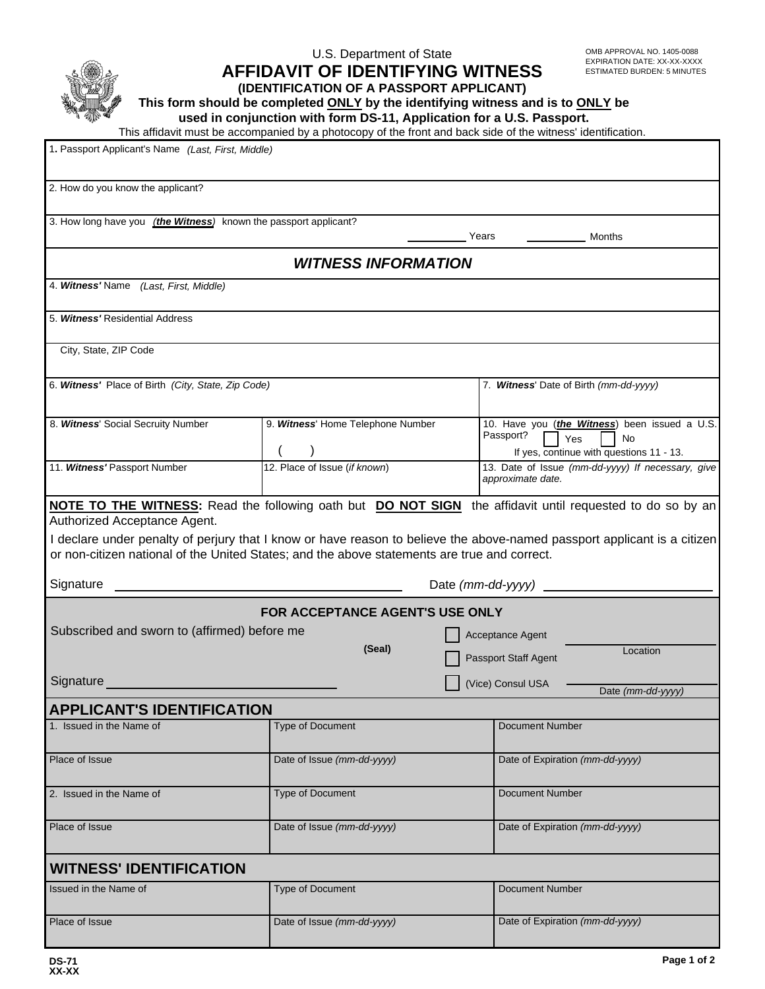|                                                                                                                                           | U.S. Department of State<br><b>AFFIDAVIT OF IDENTIFYING WITNESS</b><br>(IDENTIFICATION OF A PASSPORT APPLICANT)<br>This form should be completed ONLY by the identifying witness and is to ONLY be<br>used in conjunction with form DS-11, Application for a U.S. Passport.<br>This affidavit must be accompanied by a photocopy of the front and back side of the witness' identification. |                   | OMB APPROVAL NO. 1405-0088<br>EXPIRATION DATE: XX-XX-XXXX<br><b>ESTIMATED BURDEN: 5 MINUTES</b>                                                                                                                                                     |
|-------------------------------------------------------------------------------------------------------------------------------------------|---------------------------------------------------------------------------------------------------------------------------------------------------------------------------------------------------------------------------------------------------------------------------------------------------------------------------------------------------------------------------------------------|-------------------|-----------------------------------------------------------------------------------------------------------------------------------------------------------------------------------------------------------------------------------------------------|
| 1. Passport Applicant's Name (Last, First, Middle)                                                                                        |                                                                                                                                                                                                                                                                                                                                                                                             |                   |                                                                                                                                                                                                                                                     |
| 2. How do you know the applicant?                                                                                                         |                                                                                                                                                                                                                                                                                                                                                                                             |                   |                                                                                                                                                                                                                                                     |
| 3. How long have you <i>(the Witness)</i> known the passport applicant?                                                                   |                                                                                                                                                                                                                                                                                                                                                                                             |                   | Years<br>Months                                                                                                                                                                                                                                     |
|                                                                                                                                           | <b>WITNESS INFORMATION</b>                                                                                                                                                                                                                                                                                                                                                                  |                   |                                                                                                                                                                                                                                                     |
| 4. Witness' Name<br>(Last, First, Middle)                                                                                                 |                                                                                                                                                                                                                                                                                                                                                                                             |                   |                                                                                                                                                                                                                                                     |
| 5. Witness' Residential Address                                                                                                           |                                                                                                                                                                                                                                                                                                                                                                                             |                   |                                                                                                                                                                                                                                                     |
| City, State, ZIP Code                                                                                                                     |                                                                                                                                                                                                                                                                                                                                                                                             |                   |                                                                                                                                                                                                                                                     |
| 6. Witness' Place of Birth (City, State, Zip Code)                                                                                        |                                                                                                                                                                                                                                                                                                                                                                                             |                   | 7. Witness' Date of Birth (mm-dd-yyyy)                                                                                                                                                                                                              |
| 8. Witness' Social Secruity Number                                                                                                        | 9. Witness' Home Telephone Number                                                                                                                                                                                                                                                                                                                                                           |                   | 10. Have you (the Witness) been issued a U.S.<br>Passport?<br>Yes<br>No<br>If yes, continue with questions 11 - 13.                                                                                                                                 |
| 11. Witness' Passport Number                                                                                                              | 12. Place of Issue (if known)                                                                                                                                                                                                                                                                                                                                                               |                   | 13. Date of Issue (mm-dd-yyyy) If necessary, give<br>approximate date.                                                                                                                                                                              |
| Authorized Acceptance Agent.<br>or non-citizen national of the United States; and the above statements are true and correct.<br>Signature |                                                                                                                                                                                                                                                                                                                                                                                             | Date (mm-dd-yyyy) | <b>NOTE TO THE WITNESS:</b> Read the following oath but <b>DO NOT SIGN</b> the affidavit until requested to do so by an<br>I declare under penalty of perjury that I know or have reason to believe the above-named passport applicant is a citizen |
| Subscribed and sworn to (affirmed) before me                                                                                              | <b>FOR ACCEPTANCE AGENT'S USE ONLY</b><br>(Seal)                                                                                                                                                                                                                                                                                                                                            |                   | Acceptance Agent<br>Location<br>Passport Staff Agent                                                                                                                                                                                                |
| Signature                                                                                                                                 |                                                                                                                                                                                                                                                                                                                                                                                             |                   | (Vice) Consul USA<br>Date (mm-dd-yyyy)                                                                                                                                                                                                              |
| <b>APPLICANT'S IDENTIFICATION</b>                                                                                                         |                                                                                                                                                                                                                                                                                                                                                                                             |                   |                                                                                                                                                                                                                                                     |
| 1. Issued in the Name of                                                                                                                  | Type of Document                                                                                                                                                                                                                                                                                                                                                                            |                   | <b>Document Number</b>                                                                                                                                                                                                                              |
| Place of Issue                                                                                                                            | Date of Issue (mm-dd-yyyy)                                                                                                                                                                                                                                                                                                                                                                  |                   | Date of Expiration (mm-dd-yyyy)                                                                                                                                                                                                                     |
| 2. Issued in the Name of                                                                                                                  | Type of Document                                                                                                                                                                                                                                                                                                                                                                            |                   | <b>Document Number</b>                                                                                                                                                                                                                              |
| Place of Issue                                                                                                                            | Date of Issue (mm-dd-yyyy)                                                                                                                                                                                                                                                                                                                                                                  |                   | Date of Expiration (mm-dd-yyyy)                                                                                                                                                                                                                     |
| <b>WITNESS' IDENTIFICATION</b>                                                                                                            |                                                                                                                                                                                                                                                                                                                                                                                             |                   |                                                                                                                                                                                                                                                     |
| Issued in the Name of                                                                                                                     | Type of Document                                                                                                                                                                                                                                                                                                                                                                            |                   | <b>Document Number</b>                                                                                                                                                                                                                              |
| Place of Issue                                                                                                                            | Date of Issue (mm-dd-yyyy)                                                                                                                                                                                                                                                                                                                                                                  |                   | Date of Expiration (mm-dd-yyyy)                                                                                                                                                                                                                     |